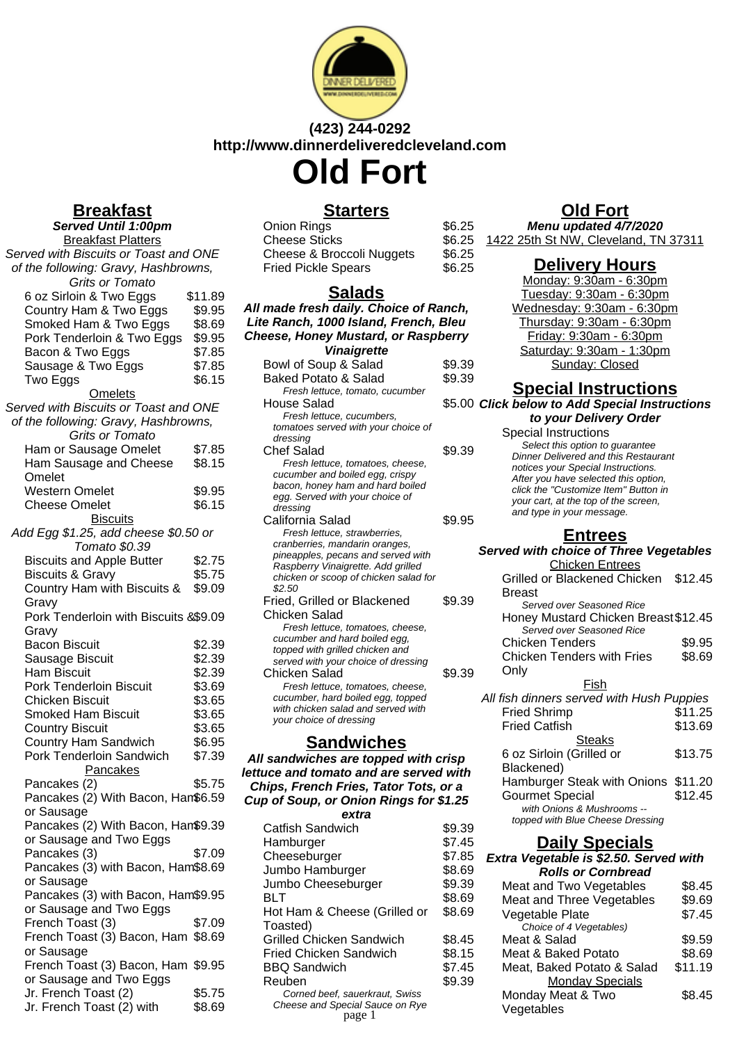

# **(423) 244-0292 http://www.dinnerdeliveredcleveland.com Old Fort**

**Breakfast Served Until 1:00pm** Breakfast Platters Served with Biscuits or Toast and ONE of the following: Gravy, Hashbrowns, Grits or Tomato 6 oz Sirloin & Two Eggs \$11.89 Country Ham & Two Eggs \$9.95 Smoked Ham & Two Eggs \$8.69 Pork Tenderloin & Two Eggs \$9.95 Bacon & Two Eggs \$7.85 Sausage & Two Eggs \$7.85<br>Two Eggs \$6.15 **Two Eggs Omelets** Served with Biscuits or Toast and ONE of the following: Gravy, Hashbrowns, Grits or Tomato Ham or Sausage Omelet \$7.85 Ham Sausage and Cheese Omelet \$8.15 Western Omelet \$9.95 Cheese Omelet \$6.15 **Biscuits** Add Egg \$1.25, add cheese \$0.50 or Tomato \$0.39 Biscuits and Apple Butter \$2.75 Biscuits & Gravy \$5.75 Country Ham with Biscuits & Gravy \$9.09 Pork Tenderloin with Biscuits & \$9.09 Gravy Bacon Biscuit \$2.39 Sausage Biscuit \$2.39 Ham Biscuit \$2.39<br>Pork Tenderloin Biscuit \$3.69 Pork Tenderloin Biscuit Chicken Biscuit \$3.65 Smoked Ham Biscuit \$3.65 Country Biscuit \$3.65 Country Ham Sandwich \$6.95 Pork Tenderloin Sandwich \$7.39 Pancakes Pancakes (2) \$5.75 Pancakes (2) With Bacon, Ham \$6.59 or Sausage Pancakes (2) With Bacon, Ham \$9.39 or Sausage and Two Eggs Pancakes (3) \$7.09 Pancakes (3) with Bacon, Ham \$8.69 or Sausage Pancakes (3) with Bacon, Ham \$9.95 or Sausage and Two Eggs French Toast (3) \$7.09 French Toast (3) Bacon, Ham \$8.69 or Sausage French Toast (3) Bacon, Ham \$9.95 or Sausage and Two Eggs Jr. French Toast (2) \$5.75 Jr. French Toast (2) with \$8.69

## **Starters**

| <b>Onion Rings</b>         | \$6.25 |
|----------------------------|--------|
| <b>Cheese Sticks</b>       | \$6.25 |
| Cheese & Broccoli Nuggets  | \$6.25 |
| <b>Fried Pickle Spears</b> | \$6.25 |

## **Salads**

**All made fresh daily. Choice of Ranch, Lite Ranch, 1000 Island, French, Bleu Cheese, Honey Mustard, or Raspberry Vinaigrette** Bowl of Soup & Salad \$9.39 Baked Potato & Salad \$9.39 Fresh lettuce, tomato, cucumber House Salad Fresh lettuce, cucumbers, tomatoes served with your choice of dressing Chef Salad \$9.39 Fresh lettuce, tomatoes, cheese, cucumber and boiled egg, crispy bacon, honey ham and hard boiled egg. Served with your choice of dressing California Salad \$9.95 Fresh lettuce, strawberries, cranberries, mandarin oranges, pineapples, pecans and served with Raspberry Vinaigrette. Add grilled chicken or scoop of chicken salad for \$2.50 Fried, Grilled or Blackened Chicken Salad \$9.39 Fresh lettuce, tomatoes, cheese, cucumber and hard boiled egg, topped with grilled chicken and served with your choice of dressing Chicken Salad \$9.39 Fresh lettuce, tomatoes, cheese, cucumber, hard boiled egg, topped with chicken salad and served with your choice of dressing

## **Sandwiches**

#### **All sandwiches are topped with crisp lettuce and tomato and are served with Chips, French Fries, Tator Tots, or a Cup of Soup, or Onion Rings for \$1.25 extra**

| Catfish Sandwich                          | \$9.39 |
|-------------------------------------------|--------|
| Hamburger                                 | \$7.45 |
| Cheeseburger                              | \$7.85 |
| Jumbo Hamburger                           | \$8.69 |
| Jumbo Cheeseburger                        | \$9.39 |
| BLT                                       | \$8.69 |
| Hot Ham & Cheese (Grilled or              | \$8.69 |
| Toasted)                                  |        |
| <b>Grilled Chicken Sandwich</b>           | \$8.45 |
| <b>Fried Chicken Sandwich</b>             | \$8.15 |
| <b>BBQ Sandwich</b>                       | \$7.45 |
| Reuben                                    | \$9.39 |
| Corned beef, sauerkraut, Swiss            |        |
| Cheese and Special Sauce on Rye<br>page 1 |        |
|                                           |        |

# **Old Fort**

**Menu updated 4/7/2020** 1422 25th St NW, Cleveland, TN 37311

## **Delivery Hours**

Monday: 9:30am - 6:30pm Tuesday: 9:30am - 6:30pm Wednesday: 9:30am - 6:30pm Thursday: 9:30am - 6:30pm Friday: 9:30am - 6:30pm Saturday: 9:30am - 1:30pm Sunday: Closed

## **Special Instructions**

\$5.00 Click below to Add Special Instructions **to your Delivery Order**

| $\sim$ your bennery order                   |  |
|---------------------------------------------|--|
| Special Instructions                        |  |
| Select this option to guarantee             |  |
| <b>Dinner Delivered and this Restaurant</b> |  |
| notices your Special Instructions.          |  |
| After you have selected this option,        |  |
| click the "Customize Item" Button in        |  |
| your cart, at the top of the screen,        |  |
| and type in your message.                   |  |

## **Entrees**

#### **Served with choice of Three Vegetables** Chicken Entrees Grilled or Blackened Chicken \$12.45 Breast Served over Seasoned Rice

| Honey Mustard Chicken Breast \$12.45 |        |
|--------------------------------------|--------|
| Served over Seasoned Rice            |        |
| <b>Chicken Tenders</b>               | \$9.95 |

Chicken Tenders with Fries Only \$8.69

## Fish

| All fish dinners served with Hush Puppies |         |
|-------------------------------------------|---------|
| <b>Fried Shrimp</b>                       | \$11.25 |
| <b>Fried Catfish</b>                      | \$13.69 |
| <b>Steaks</b>                             |         |
| 6 oz Sirloin (Grilled or                  | \$13.75 |
| Blackened)                                |         |
| Hamburger Steak with Onions \$11.20       |         |
| <b>Gourmet Special</b>                    | \$12.45 |
| with Onions & Mushrooms --                |         |
| topped with Blue Cheese Dressing          |         |

## **Daily Specials**

| Extra Vegetable is \$2.50. Served with |         |
|----------------------------------------|---------|
| <b>Rolls or Cornbread</b>              |         |
| Meat and Two Vegetables                | \$8.45  |
| Meat and Three Vegetables              | \$9.69  |
| Vegetable Plate                        | \$7.45  |
| Choice of 4 Vegetables)                |         |
| Meat & Salad                           | \$9.59  |
| Meat & Baked Potato                    | \$8.69  |
| Meat, Baked Potato & Salad             | \$11.19 |
| <b>Monday Specials</b>                 |         |
| Monday Meat & Two                      | \$8.45  |
| Vegetables                             |         |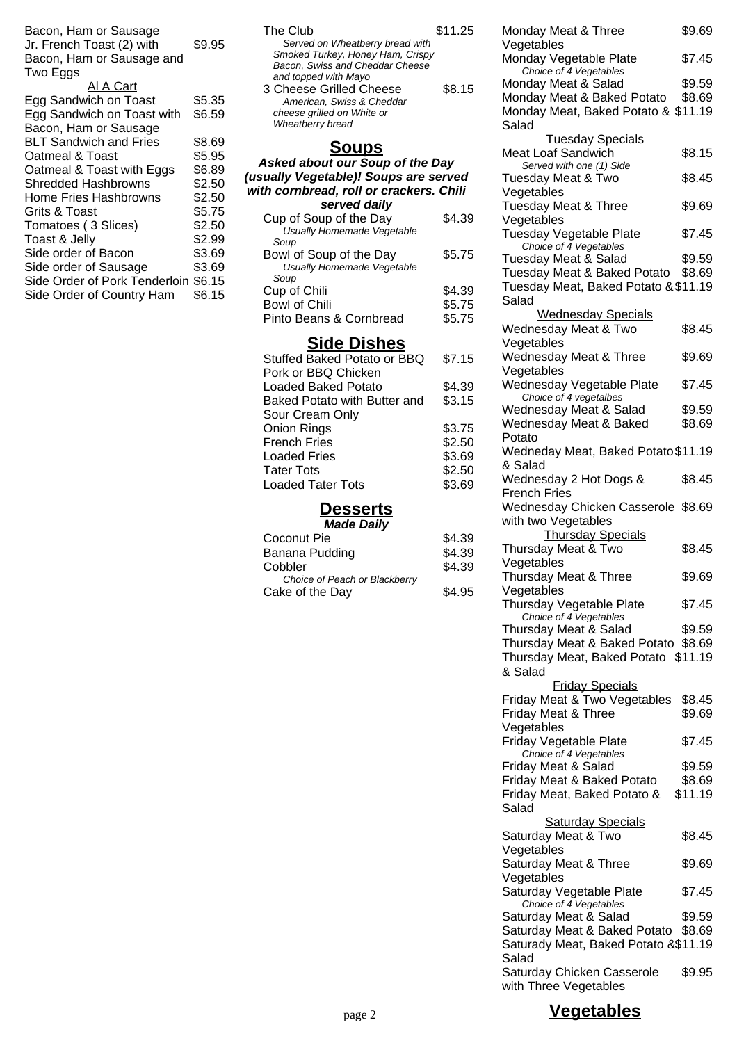Bacon, Ham or Sausage Jr. French Toast (2) with Bacon, Ham or Sausage and Two Eggs \$9.95

#### Al A Cart

| .                                    |        |
|--------------------------------------|--------|
| Egg Sandwich on Toast                | \$5.35 |
| Egg Sandwich on Toast with           | \$6.59 |
| Bacon, Ham or Sausage                |        |
| <b>BLT Sandwich and Fries</b>        | \$8.69 |
| Oatmeal & Toast                      | \$5.95 |
| Oatmeal & Toast with Eggs            | \$6.89 |
| Shredded Hashbrowns                  | \$2.50 |
| Home Fries Hashbrowns                | \$2.50 |
| Grits & Toast                        | \$5.75 |
| Tomatoes (3 Slices)                  | \$2.50 |
| Toast & Jelly                        | \$2.99 |
| Side order of Bacon                  | \$3.69 |
| Side order of Sausage                | \$3.69 |
| Side Order of Pork Tenderloin \$6.15 |        |
| Side Order of Country Ham            | \$6.15 |

| The Club                                                                                               | \$11.25 |
|--------------------------------------------------------------------------------------------------------|---------|
| Served on Wheatberry bread with<br>Smoked Turkey, Honey Ham, Crispy<br>Bacon, Swiss and Cheddar Cheese |         |
| and topped with Mayo<br>3 Cheese Grilled Cheese                                                        | \$8.15  |
| American. Swiss & Cheddar<br>cheese grilled on White or<br>Wheatberry bread                            |         |
|                                                                                                        |         |

### **Asked about our Soup of the Day (usually Vegetable)! Soups are served with cornbread, roll or crackers. Chili served daily**

| Cup of Soup of the Day<br>Usually Homemade Vegetable | \$4.39 |
|------------------------------------------------------|--------|
| Soup                                                 |        |
| Bowl of Soup of the Day                              | \$5.75 |
| Usually Homemade Vegetable                           |        |
| Soup                                                 |        |
| Cup of Chili                                         | \$4.39 |
| <b>Bowl of Chili</b>                                 | \$5.75 |
| Pinto Beans & Cornbread                              | \$5.75 |

## **Side Dishes**

| \$7.15 |
|--------|
|        |
| \$4.39 |
| \$3.15 |
|        |
| \$3.75 |
| \$2.50 |
| \$3.69 |
| \$2.50 |
| \$3.69 |
|        |

#### **Desserts Made Daily**

| <i>wauc Dany</i>              |        |
|-------------------------------|--------|
| Coconut Pie                   | \$4.39 |
| Banana Pudding                | \$4.39 |
| Cobbler                       | \$4.39 |
| Choice of Peach or Blackberry |        |
| Cake of the Day               | \$4.95 |

| Monday Meat & Three                                      | \$9.69  |  |
|----------------------------------------------------------|---------|--|
| Vegetables                                               |         |  |
| Monday Vegetable Plate<br>Choice of 4 Vegetables         | \$7.45  |  |
| Monday Meat & Salad                                      | \$9.59  |  |
| Monday Meat & Baked Potato                               | \$8.69  |  |
| Monday Meat, Baked Potato & \$11.19                      |         |  |
| Salad                                                    |         |  |
| <b>Tuesday Specials</b><br><b>Meat Loaf Sandwich</b>     |         |  |
| Served with one (1) Side                                 | \$8.15  |  |
| <b>Tuesday Meat &amp; Two</b>                            | \$8.45  |  |
| Vegetables                                               |         |  |
| Tuesday Meat & Three                                     | \$9.69  |  |
| Vegetables                                               |         |  |
| <b>Tuesday Vegetable Plate</b><br>Choice of 4 Vegetables | \$7.45  |  |
| Tuesday Meat & Salad                                     | \$9.59  |  |
| Tuesday Meat & Baked Potato                              | \$8.69  |  |
| Tuesday Meat, Baked Potato & \$11.19                     |         |  |
| Salad                                                    |         |  |
| <b>Wednesday Specials</b>                                |         |  |
| Wednesday Meat & Two                                     | \$8.45  |  |
| Vegetables<br>Wednesday Meat & Three                     | \$9.69  |  |
| Vegetables                                               |         |  |
| Wednesday Vegetable Plate                                | \$7.45  |  |
| Choice of 4 vegetalbes                                   |         |  |
| Wednesday Meat & Salad                                   | \$9.59  |  |
| Wednesday Meat & Baked<br>Potato                         | \$8.69  |  |
| Wedneday Meat, Baked Potato \$11.19                      |         |  |
| & Salad                                                  |         |  |
| Wednesday 2 Hot Dogs &                                   | \$8.45  |  |
| <b>French Fries</b>                                      |         |  |
| Wednesday Chicken Casserole \$8.69                       |         |  |
| with two Vegetables                                      |         |  |
| <b>Thursday Specials</b><br>Thursday Meat & Two          | \$8.45  |  |
| Vegetables                                               |         |  |
| Thursday Meat & Three                                    | \$9.69  |  |
| Vegetables                                               |         |  |
| Thursday Vegetable Plate                                 | \$7.45  |  |
| Choice of 4 Vegetables<br>Thursday Meat & Salad          | \$9.59  |  |
| Thursday Meat & Baked Potato                             | \$8.69  |  |
| Thursday Meat, Baked Potato \$11.19                      |         |  |
| & Salad                                                  |         |  |
| <b>Friday Specials</b>                                   |         |  |
| Friday Meat & Two Vegetables                             | \$8.45  |  |
| Friday Meat & Three                                      | \$9.69  |  |
| Vegetables                                               |         |  |
| Friday Vegetable Plate<br>Choice of 4 Vegetables         | \$7.45  |  |
| Friday Meat & Salad                                      | \$9.59  |  |
| Friday Meat & Baked Potato                               | \$8.69  |  |
| Friday Meat, Baked Potato &                              | \$11.19 |  |
| Salad                                                    |         |  |
| <b>Saturday Specials</b>                                 |         |  |
| Saturday Meat & Two<br>Vegetables                        | \$8.45  |  |
|                                                          |         |  |

Saturday Vegetable Plate \$7.45

Saturday Meat & Salad \$9.59 Saturday Meat & Baked Potato \$8.69 Saturady Meat, Baked Potato & \$11.19

Saturday Meat & Three

Choice of 4 Vegetables

Saturday Chicken Casserole with Three Vegetables

\$9.69

\$9.95

Vegetables

Salad